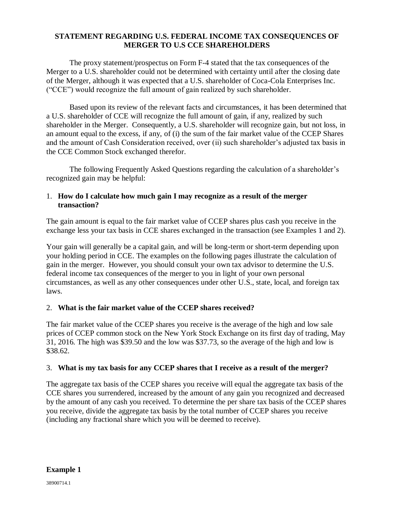### **STATEMENT REGARDING U.S. FEDERAL INCOME TAX CONSEQUENCES OF MERGER TO U.S CCE SHAREHOLDERS**

The proxy statement/prospectus on Form F-4 stated that the tax consequences of the Merger to a U.S. shareholder could not be determined with certainty until after the closing date of the Merger, although it was expected that a U.S. shareholder of Coca-Cola Enterprises Inc. ("CCE") would recognize the full amount of gain realized by such shareholder.

Based upon its review of the relevant facts and circumstances, it has been determined that a U.S. shareholder of CCE will recognize the full amount of gain, if any, realized by such shareholder in the Merger. Consequently, a U.S. shareholder will recognize gain, but not loss, in an amount equal to the excess, if any, of (i) the sum of the fair market value of the CCEP Shares and the amount of Cash Consideration received, over (ii) such shareholder's adjusted tax basis in the CCE Common Stock exchanged therefor.

The following Frequently Asked Questions regarding the calculation of a shareholder's recognized gain may be helpful:

# 1. **How do I calculate how much gain I may recognize as a result of the merger transaction?**

The gain amount is equal to the fair market value of CCEP shares plus cash you receive in the exchange less your tax basis in CCE shares exchanged in the transaction (see Examples 1 and 2).

Your gain will generally be a capital gain, and will be long-term or short-term depending upon your holding period in CCE. The examples on the following pages illustrate the calculation of gain in the merger. However, you should consult your own tax advisor to determine the U.S. federal income tax consequences of the merger to you in light of your own personal circumstances, as well as any other consequences under other U.S., state, local, and foreign tax laws.

# 2. **What is the fair market value of the CCEP shares received?**

The fair market value of the CCEP shares you receive is the average of the high and low sale prices of CCEP common stock on the New York Stock Exchange on its first day of trading, May 31, 2016. The high was \$39.50 and the low was \$37.73, so the average of the high and low is \$38.62.

# 3. **What is my tax basis for any CCEP shares that I receive as a result of the merger?**

The aggregate tax basis of the CCEP shares you receive will equal the aggregate tax basis of the CCE shares you surrendered, increased by the amount of any gain you recognized and decreased by the amount of any cash you received. To determine the per share tax basis of the CCEP shares you receive, divide the aggregate tax basis by the total number of CCEP shares you receive (including any fractional share which you will be deemed to receive).

### **Example 1**